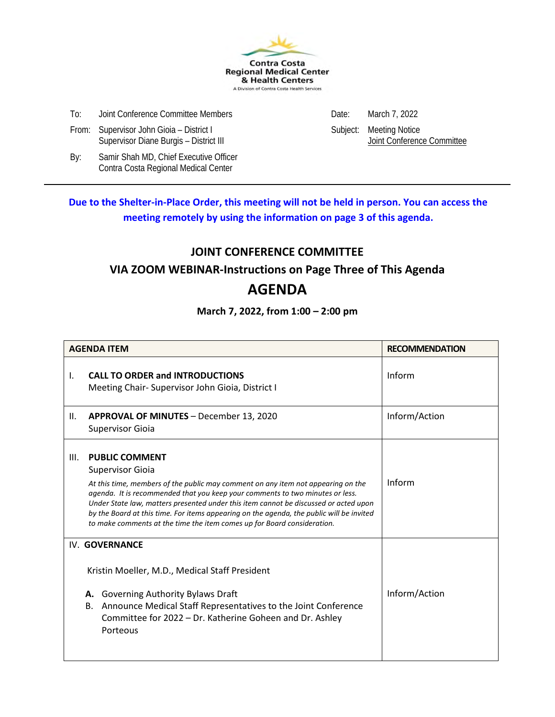

- To: Joint Conference Committee Members **Date:** Date: March 7, 2022
- From: Supervisor John Gioia District I<br>Supervisor Diane Burgis District III Supervisor Diane Burgis District III Supervisor Diane Burgis District II Supervisor Diane Burgis - District III

By: Samir Shah MD, Chief Executive Officer Contra Costa Regional Medical Center

**Due to the Shelter-in-Place Order, this meeting will not be held in person. You can access the meeting remotely by using the information on page 3 of this agenda.**

#### **JOINT CONFERENCE COMMITTEE**

#### **VIA ZOOM WEBINAR-Instructions on Page Three of This Agenda**

#### **AGENDA**

#### **March 7, 2022, from 1:00 – 2:00 pm**

| <b>AGENDA ITEM</b> |                                                                                                                                                                                                                                                                                                                                                                                                                                                                                      | <b>RECOMMENDATION</b> |
|--------------------|--------------------------------------------------------------------------------------------------------------------------------------------------------------------------------------------------------------------------------------------------------------------------------------------------------------------------------------------------------------------------------------------------------------------------------------------------------------------------------------|-----------------------|
| $\mathsf{L}$       | <b>CALL TO ORDER and INTRODUCTIONS</b><br>Meeting Chair-Supervisor John Gioia, District I                                                                                                                                                                                                                                                                                                                                                                                            | Inform                |
| II.                | <b>APPROVAL OF MINUTES - December 13, 2020</b><br><b>Supervisor Gioia</b>                                                                                                                                                                                                                                                                                                                                                                                                            | Inform/Action         |
| III.               | <b>PUBLIC COMMENT</b><br><b>Supervisor Gioia</b><br>At this time, members of the public may comment on any item not appearing on the<br>agenda. It is recommended that you keep your comments to two minutes or less.<br>Under State law, matters presented under this item cannot be discussed or acted upon<br>by the Board at this time. For items appearing on the agenda, the public will be invited<br>to make comments at the time the item comes up for Board consideration. | Inform                |
|                    | IV. GOVERNANCE<br>Kristin Moeller, M.D., Medical Staff President<br><b>Governing Authority Bylaws Draft</b><br>А.<br>Announce Medical Staff Representatives to the Joint Conference<br>В.<br>Committee for 2022 - Dr. Katherine Goheen and Dr. Ashley<br>Porteous                                                                                                                                                                                                                    | Inform/Action         |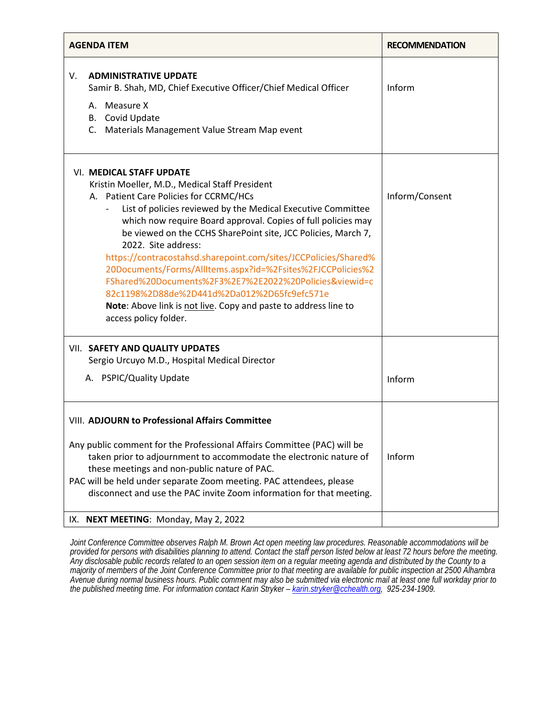| <b>AGENDA ITEM</b> |                                                                                                                                                                                                                                                                                                                                                                                                                                                                                                                                                                                                                                                                                                                         | <b>RECOMMENDATION</b> |
|--------------------|-------------------------------------------------------------------------------------------------------------------------------------------------------------------------------------------------------------------------------------------------------------------------------------------------------------------------------------------------------------------------------------------------------------------------------------------------------------------------------------------------------------------------------------------------------------------------------------------------------------------------------------------------------------------------------------------------------------------------|-----------------------|
| V.                 | <b>ADMINISTRATIVE UPDATE</b><br>Samir B. Shah, MD, Chief Executive Officer/Chief Medical Officer<br>A. Measure X<br>B. Covid Update<br>C. Materials Management Value Stream Map event                                                                                                                                                                                                                                                                                                                                                                                                                                                                                                                                   | Inform                |
|                    | <b>VI. MEDICAL STAFF UPDATE</b><br>Kristin Moeller, M.D., Medical Staff President<br>A. Patient Care Policies for CCRMC/HCs<br>List of policies reviewed by the Medical Executive Committee<br>$\overline{\phantom{0}}$<br>which now require Board approval. Copies of full policies may<br>be viewed on the CCHS SharePoint site, JCC Policies, March 7,<br>2022. Site address:<br>https://contracostahsd.sharepoint.com/sites/JCCPolicies/Shared%<br>20Documents/Forms/AllItems.aspx?id=%2Fsites%2FJCCPolicies%2<br>FShared%20Documents%2F3%2E7%2E2022%20Policies&viewid=c<br>82c1198%2D88de%2D441d%2Da012%2D65fc9efc571e<br>Note: Above link is not live. Copy and paste to address line to<br>access policy folder. | Inform/Consent        |
|                    | VII. SAFETY AND QUALITY UPDATES<br>Sergio Urcuyo M.D., Hospital Medical Director                                                                                                                                                                                                                                                                                                                                                                                                                                                                                                                                                                                                                                        |                       |
|                    | A. PSPIC/Quality Update                                                                                                                                                                                                                                                                                                                                                                                                                                                                                                                                                                                                                                                                                                 | Inform                |
|                    | <b>VIII. ADJOURN to Professional Affairs Committee</b><br>Any public comment for the Professional Affairs Committee (PAC) will be<br>taken prior to adjournment to accommodate the electronic nature of<br>these meetings and non-public nature of PAC.<br>PAC will be held under separate Zoom meeting. PAC attendees, please<br>disconnect and use the PAC invite Zoom information for that meeting.                                                                                                                                                                                                                                                                                                                  | Inform                |
|                    | IX. NEXT MEETING: Monday, May 2, 2022                                                                                                                                                                                                                                                                                                                                                                                                                                                                                                                                                                                                                                                                                   |                       |

*Joint Conference Committee observes Ralph M. Brown Act open meeting law procedures. Reasonable accommodations will be provided for persons with disabilities planning to attend. Contact the staff person listed below at least 72 hours before the meeting. Any disclosable public records related to an open session item on a regular meeting agenda and distributed by the County to a majority of members of the Joint Conference Committee prior to that meeting are available for public inspection at 2500 Alhambra Avenue during normal business hours. Public comment may also be submitted via electronic mail at least one full workday prior to the published meeting time. For information contact Karin Stryker [– karin.stryker@cchealth.org,](mailto:karin.stryker@cchealth.org) 925-234-1909.*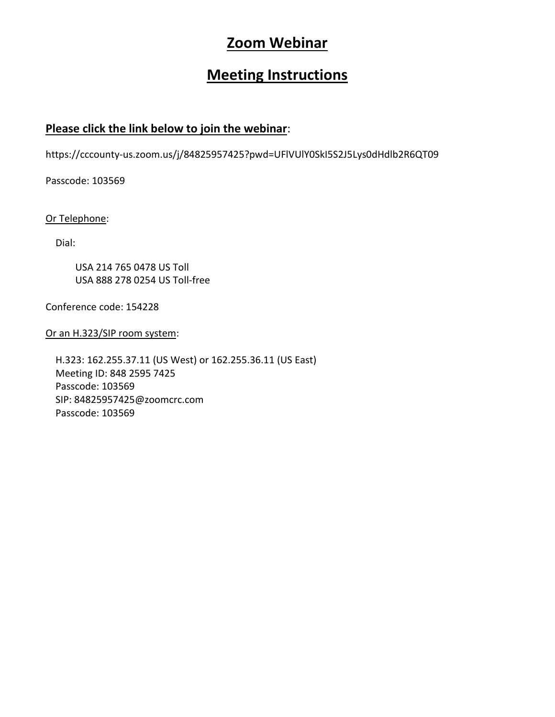#### **Zoom Webinar**

#### **Meeting Instructions**

#### **Please click the link below to join the webinar**:

https://cccounty-us.zoom.us/j/84825957425?pwd=UFlVUlY0SkI5S2J5Lys0dHdlb2R6QT09

Passcode: 103569

Or Telephone:

Dial:

 USA 214 765 0478 US Toll USA 888 278 0254 US Toll-free

Conference code: 154228

Or an H.323/SIP room system:

 H.323: 162.255.37.11 (US West) or 162.255.36.11 (US East) Meeting ID: 848 2595 7425 Passcode: 103569 SIP: 84825957425@zoomcrc.com Passcode: 103569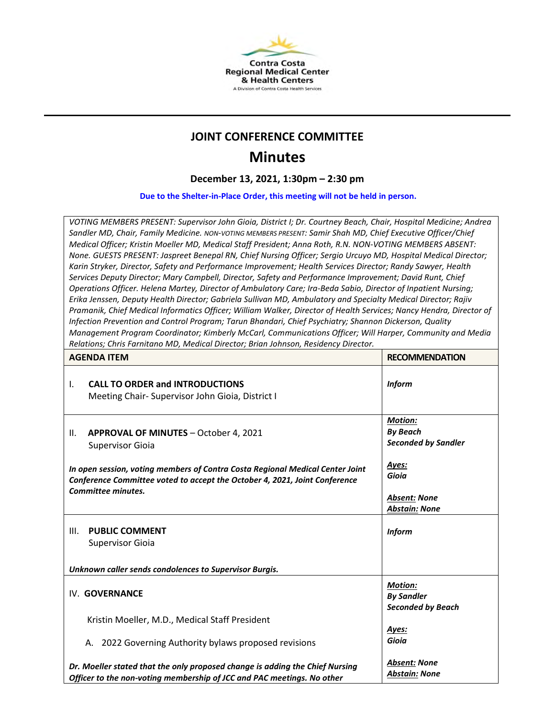

#### **JOINT CONFERENCE COMMITTEE**

#### **Minutes**

**December 13, 2021, 1:30pm – 2:30 pm**

**Due to the Shelter-in-Place Order, this meeting will not be held in person.** 

*VOTING MEMBERS PRESENT: Supervisor John Gioia, District I; Dr. Courtney Beach, Chair, Hospital Medicine; Andrea Sandler MD, Chair, Family Medicine. NON-VOTING MEMBERS PRESENT: Samir Shah MD, Chief Executive Officer/Chief Medical Officer; Kristin Moeller MD, Medical Staff President; Anna Roth, R.N. NON-VOTING MEMBERS ABSENT: None. GUESTS PRESENT: Jaspreet Benepal RN, Chief Nursing Officer; Sergio Urcuyo MD, Hospital Medical Director; Karin Stryker, Director, Safety and Performance Improvement; Health Services Director; Randy Sawyer, Health Services Deputy Director; Mary Campbell, Director, Safety and Performance Improvement; David Runt, Chief Operations Officer. Helena Martey, Director of Ambulatory Care; Ira-Beda Sabio, Director of Inpatient Nursing; Erika Jenssen, Deputy Health Director; Gabriela Sullivan MD, Ambulatory and Specialty Medical Director; Rajiv*  Pramanik, Chief Medical Informatics Officer; William Walker, Director of Health Services; Nancy Hendra, Director of *Infection Prevention and Control Program; Tarun Bhandari, Chief Psychiatry; Shannon Dickerson, Quality Management Program Coordinator; Kimberly McCarl, Communications Officer; Will Harper, Community and Media Relations; Chris Farnitano MD, Medical Director; Brian Johnson, Residency Director.* 

|                                                                                                                                                                                          | <b>AGENDA ITEM</b>                                                                                                                                     | <b>RECOMMENDATION</b>                                           |
|------------------------------------------------------------------------------------------------------------------------------------------------------------------------------------------|--------------------------------------------------------------------------------------------------------------------------------------------------------|-----------------------------------------------------------------|
| I.                                                                                                                                                                                       | <b>CALL TO ORDER and INTRODUCTIONS</b><br>Meeting Chair- Supervisor John Gioia, District I                                                             | <b>Inform</b>                                                   |
| Ш.                                                                                                                                                                                       | <b>APPROVAL OF MINUTES - October 4, 2021</b><br><b>Supervisor Gioia</b>                                                                                | Motion:<br><b>By Beach</b><br><b>Seconded by Sandler</b>        |
| In open session, voting members of Contra Costa Regional Medical Center Joint<br>Conference Committee voted to accept the October 4, 2021, Joint Conference<br><b>Committee minutes.</b> |                                                                                                                                                        | Ayes:<br>Gioia                                                  |
|                                                                                                                                                                                          |                                                                                                                                                        | <b>Absent: None</b><br><b>Abstain: None</b>                     |
| III.                                                                                                                                                                                     | <b>PUBLIC COMMENT</b><br><b>Supervisor Gioia</b>                                                                                                       | <b>Inform</b>                                                   |
|                                                                                                                                                                                          | Unknown caller sends condolences to Supervisor Burgis.                                                                                                 |                                                                 |
|                                                                                                                                                                                          | IV. GOVERNANCE                                                                                                                                         | <b>Motion:</b><br><b>By Sandler</b><br><b>Seconded by Beach</b> |
|                                                                                                                                                                                          | Kristin Moeller, M.D., Medical Staff President                                                                                                         |                                                                 |
|                                                                                                                                                                                          | A. 2022 Governing Authority bylaws proposed revisions                                                                                                  | Ayes:<br>Gioia                                                  |
|                                                                                                                                                                                          | Dr. Moeller stated that the only proposed change is adding the Chief Nursing<br>Officer to the non-voting membership of JCC and PAC meetings. No other | <b>Absent: None</b><br><b>Abstain: None</b>                     |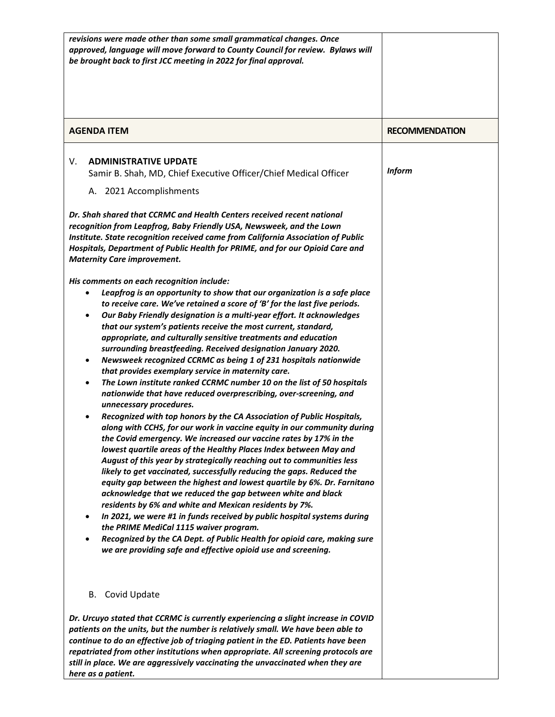| revisions were made other than some small grammatical changes. Once<br>approved, language will move forward to County Council for review. Bylaws will<br>be brought back to first JCC meeting in 2022 for final approval.                                                                                                                                                                                                                                                                                                                                                                                                                                                                                                                                                                                                                                                                                                                                                                                                                                                                                                                                                                                                                                                                                                                                                                                                                                                                                                                                                                                                                                                                                                                                                                                                                                                                                                                                                                                                                                                                                                                                                                                                          |                       |
|------------------------------------------------------------------------------------------------------------------------------------------------------------------------------------------------------------------------------------------------------------------------------------------------------------------------------------------------------------------------------------------------------------------------------------------------------------------------------------------------------------------------------------------------------------------------------------------------------------------------------------------------------------------------------------------------------------------------------------------------------------------------------------------------------------------------------------------------------------------------------------------------------------------------------------------------------------------------------------------------------------------------------------------------------------------------------------------------------------------------------------------------------------------------------------------------------------------------------------------------------------------------------------------------------------------------------------------------------------------------------------------------------------------------------------------------------------------------------------------------------------------------------------------------------------------------------------------------------------------------------------------------------------------------------------------------------------------------------------------------------------------------------------------------------------------------------------------------------------------------------------------------------------------------------------------------------------------------------------------------------------------------------------------------------------------------------------------------------------------------------------------------------------------------------------------------------------------------------------|-----------------------|
| <b>AGENDA ITEM</b>                                                                                                                                                                                                                                                                                                                                                                                                                                                                                                                                                                                                                                                                                                                                                                                                                                                                                                                                                                                                                                                                                                                                                                                                                                                                                                                                                                                                                                                                                                                                                                                                                                                                                                                                                                                                                                                                                                                                                                                                                                                                                                                                                                                                                 | <b>RECOMMENDATION</b> |
| <b>ADMINISTRATIVE UPDATE</b><br>V.<br>Samir B. Shah, MD, Chief Executive Officer/Chief Medical Officer<br>A. 2021 Accomplishments<br>Dr. Shah shared that CCRMC and Health Centers received recent national<br>recognition from Leapfrog, Baby Friendly USA, Newsweek, and the Lown<br>Institute. State recognition received came from California Association of Public<br>Hospitals, Department of Public Health for PRIME, and for our Opioid Care and<br><b>Maternity Care improvement.</b><br>His comments on each recognition include:<br>Leapfrog is an opportunity to show that our organization is a safe place<br>٠<br>to receive care. We've retained a score of 'B' for the last five periods.<br>Our Baby Friendly designation is a multi-year effort. It acknowledges<br>٠<br>that our system's patients receive the most current, standard,<br>appropriate, and culturally sensitive treatments and education<br>surrounding breastfeeding. Received designation January 2020.<br>Newsweek recognized CCRMC as being 1 of 231 hospitals nationwide<br>that provides exemplary service in maternity care.<br>The Lown institute ranked CCRMC number 10 on the list of 50 hospitals<br>nationwide that have reduced overprescribing, over-screening, and<br>unnecessary procedures.<br>Recognized with top honors by the CA Association of Public Hospitals,<br>along with CCHS, for our work in vaccine equity in our community during<br>the Covid emergency. We increased our vaccine rates by 17% in the<br>lowest quartile areas of the Healthy Places Index between May and<br>August of this year by strategically reaching out to communities less<br>likely to get vaccinated, successfully reducing the gaps. Reduced the<br>equity gap between the highest and lowest quartile by 6%. Dr. Farnitano<br>acknowledge that we reduced the gap between white and black<br>residents by 6% and white and Mexican residents by 7%.<br>In 2021, we were #1 in funds received by public hospital systems during<br>$\bullet$<br>the PRIME MediCal 1115 waiver program.<br>Recognized by the CA Dept. of Public Health for opioid care, making sure<br>we are providing safe and effective opioid use and screening. | <b>Inform</b>         |
| B. Covid Update                                                                                                                                                                                                                                                                                                                                                                                                                                                                                                                                                                                                                                                                                                                                                                                                                                                                                                                                                                                                                                                                                                                                                                                                                                                                                                                                                                                                                                                                                                                                                                                                                                                                                                                                                                                                                                                                                                                                                                                                                                                                                                                                                                                                                    |                       |
| Dr. Urcuyo stated that CCRMC is currently experiencing a slight increase in COVID<br>patients on the units, but the number is relatively small. We have been able to<br>continue to do an effective job of triaging patient in the ED. Patients have been<br>repatriated from other institutions when appropriate. All screening protocols are<br>still in place. We are aggressively vaccinating the unvaccinated when they are<br>here as a patient.                                                                                                                                                                                                                                                                                                                                                                                                                                                                                                                                                                                                                                                                                                                                                                                                                                                                                                                                                                                                                                                                                                                                                                                                                                                                                                                                                                                                                                                                                                                                                                                                                                                                                                                                                                             |                       |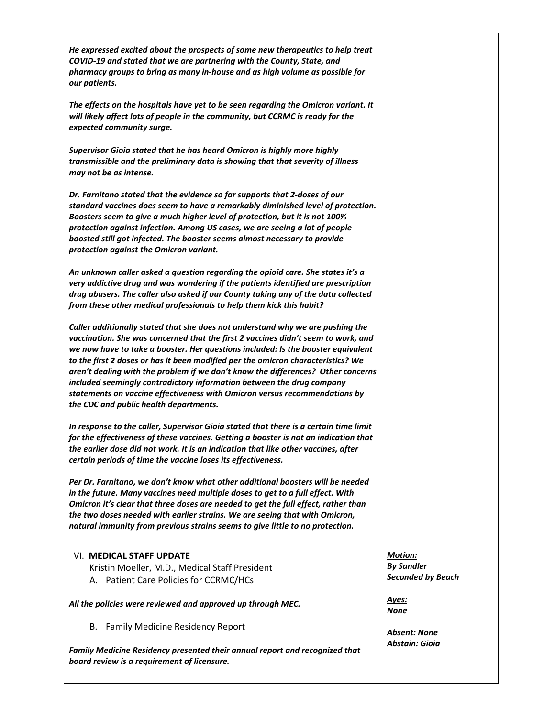| He expressed excited about the prospects of some new therapeutics to help treat<br>COVID-19 and stated that we are partnering with the County, State, and<br>pharmacy groups to bring as many in-house and as high volume as possible for<br>our patients.                                                                                                                                                                                                                                                                                                                                                                       |                                                                 |
|----------------------------------------------------------------------------------------------------------------------------------------------------------------------------------------------------------------------------------------------------------------------------------------------------------------------------------------------------------------------------------------------------------------------------------------------------------------------------------------------------------------------------------------------------------------------------------------------------------------------------------|-----------------------------------------------------------------|
| The effects on the hospitals have yet to be seen regarding the Omicron variant. It<br>will likely affect lots of people in the community, but CCRMC is ready for the<br>expected community surge.                                                                                                                                                                                                                                                                                                                                                                                                                                |                                                                 |
| Supervisor Gioia stated that he has heard Omicron is highly more highly<br>transmissible and the preliminary data is showing that that severity of illness<br>may not be as intense.                                                                                                                                                                                                                                                                                                                                                                                                                                             |                                                                 |
| Dr. Farnitano stated that the evidence so far supports that 2-doses of our<br>standard vaccines does seem to have a remarkably diminished level of protection.<br>Boosters seem to give a much higher level of protection, but it is not 100%<br>protection against infection. Among US cases, we are seeing a lot of people<br>boosted still got infected. The booster seems almost necessary to provide<br>protection against the Omicron variant.                                                                                                                                                                             |                                                                 |
| An unknown caller asked a question regarding the opioid care. She states it's a<br>very addictive drug and was wondering if the patients identified are prescription<br>drug abusers. The caller also asked if our County taking any of the data collected<br>from these other medical professionals to help them kick this habit?                                                                                                                                                                                                                                                                                               |                                                                 |
| Caller additionally stated that she does not understand why we are pushing the<br>vaccination. She was concerned that the first 2 vaccines didn't seem to work, and<br>we now have to take a booster. Her questions included: Is the booster equivalent<br>to the first 2 doses or has it been modified per the omicron characteristics? We<br>aren't dealing with the problem if we don't know the differences? Other concerns<br>included seemingly contradictory information between the drug company<br>statements on vaccine effectiveness with Omicron versus recommendations by<br>the CDC and public health departments. |                                                                 |
| In response to the caller, Supervisor Gioia stated that there is a certain time limit<br>for the effectiveness of these vaccines. Getting a booster is not an indication that<br>the earlier dose did not work. It is an indication that like other vaccines, after<br>certain periods of time the vaccine loses its effectiveness.                                                                                                                                                                                                                                                                                              |                                                                 |
| Per Dr. Farnitano, we don't know what other additional boosters will be needed<br>in the future. Many vaccines need multiple doses to get to a full effect. With<br>Omicron it's clear that three doses are needed to get the full effect, rather than<br>the two doses needed with earlier strains. We are seeing that with Omicron,<br>natural immunity from previous strains seems to give little to no protection.                                                                                                                                                                                                           |                                                                 |
| <b>VI. MEDICAL STAFF UPDATE</b><br>Kristin Moeller, M.D., Medical Staff President<br>A. Patient Care Policies for CCRMC/HCs                                                                                                                                                                                                                                                                                                                                                                                                                                                                                                      | <b>Motion:</b><br><b>By Sandler</b><br><b>Seconded by Beach</b> |
| All the policies were reviewed and approved up through MEC.                                                                                                                                                                                                                                                                                                                                                                                                                                                                                                                                                                      | <u>Ayes:</u><br>None                                            |
| B. Family Medicine Residency Report                                                                                                                                                                                                                                                                                                                                                                                                                                                                                                                                                                                              | <b>Absent: None</b>                                             |
| Family Medicine Residency presented their annual report and recognized that<br>board review is a requirement of licensure.                                                                                                                                                                                                                                                                                                                                                                                                                                                                                                       | <b>Abstain: Gioia</b>                                           |
|                                                                                                                                                                                                                                                                                                                                                                                                                                                                                                                                                                                                                                  |                                                                 |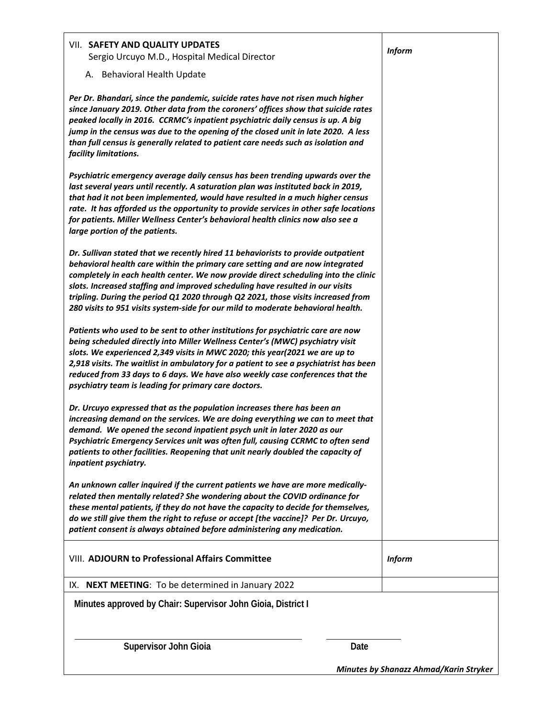| VII. SAFETY AND QUALITY UPDATES<br>Sergio Urcuyo M.D., Hospital Medical Director                                                                                                                                                                                                                                                                                                                                                                                                                                 | <b>Inform</b>                                 |
|------------------------------------------------------------------------------------------------------------------------------------------------------------------------------------------------------------------------------------------------------------------------------------------------------------------------------------------------------------------------------------------------------------------------------------------------------------------------------------------------------------------|-----------------------------------------------|
| A. Behavioral Health Update                                                                                                                                                                                                                                                                                                                                                                                                                                                                                      |                                               |
| Per Dr. Bhandari, since the pandemic, suicide rates have not risen much higher<br>since January 2019. Other data from the coroners' offices show that suicide rates<br>peaked locally in 2016. CCRMC's inpatient psychiatric daily census is up. A big<br>jump in the census was due to the opening of the closed unit in late 2020. A less<br>than full census is generally related to patient care needs such as isolation and<br>facility limitations.                                                        |                                               |
| Psychiatric emergency average daily census has been trending upwards over the<br>last several years until recently. A saturation plan was instituted back in 2019,<br>that had it not been implemented, would have resulted in a much higher census<br>rate. It has afforded us the opportunity to provide services in other safe locations<br>for patients. Miller Wellness Center's behavioral health clinics now also see a<br>large portion of the patients.                                                 |                                               |
| Dr. Sullivan stated that we recently hired 11 behaviorists to provide outpatient<br>behavioral health care within the primary care setting and are now integrated<br>completely in each health center. We now provide direct scheduling into the clinic<br>slots. Increased staffing and improved scheduling have resulted in our visits<br>tripling. During the period Q1 2020 through Q2 2021, those visits increased from<br>280 visits to 951 visits system-side for our mild to moderate behavioral health. |                                               |
| Patients who used to be sent to other institutions for psychiatric care are now<br>being scheduled directly into Miller Wellness Center's (MWC) psychiatry visit<br>slots. We experienced 2,349 visits in MWC 2020; this year(2021 we are up to<br>2,918 visits. The waitlist in ambulatory for a patient to see a psychiatrist has been<br>reduced from 33 days to 6 days. We have also weekly case conferences that the<br>psychiatry team is leading for primary care doctors.                                |                                               |
| Dr. Urcuyo expressed that as the population increases there has been an<br>increasing demand on the services. We are doing everything we can to meet that<br>demand. We opened the second inpatient psych unit in later 2020 as our<br>Psychiatric Emergency Services unit was often full, causing CCRMC to often send<br>patients to other facilities. Reopening that unit nearly doubled the capacity of<br>inpatient psychiatry.                                                                              |                                               |
| An unknown caller inquired if the current patients we have are more medically-<br>related then mentally related? She wondering about the COVID ordinance for<br>these mental patients, if they do not have the capacity to decide for themselves,<br>do we still give them the right to refuse or accept [the vaccine]? Per Dr. Urcuyo,<br>patient consent is always obtained before administering any medication.                                                                                               |                                               |
| <b>VIII. ADJOURN to Professional Affairs Committee</b>                                                                                                                                                                                                                                                                                                                                                                                                                                                           | <b>Inform</b>                                 |
| IX. NEXT MEETING: To be determined in January 2022                                                                                                                                                                                                                                                                                                                                                                                                                                                               |                                               |
| Minutes approved by Chair: Supervisor John Gioia, District I                                                                                                                                                                                                                                                                                                                                                                                                                                                     |                                               |
| <b>Supervisor John Gioia</b><br>Date                                                                                                                                                                                                                                                                                                                                                                                                                                                                             | <b>Minutes by Shanazz Ahmad/Karin Stryker</b> |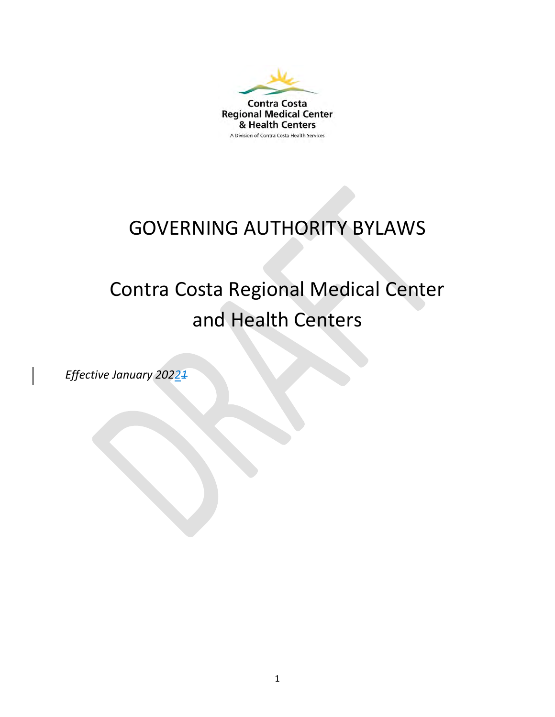

### GOVERNING AUTHORITY BYLAWS

## Contra Costa Regional Medical Center and Health Centers

*Effective January 20221*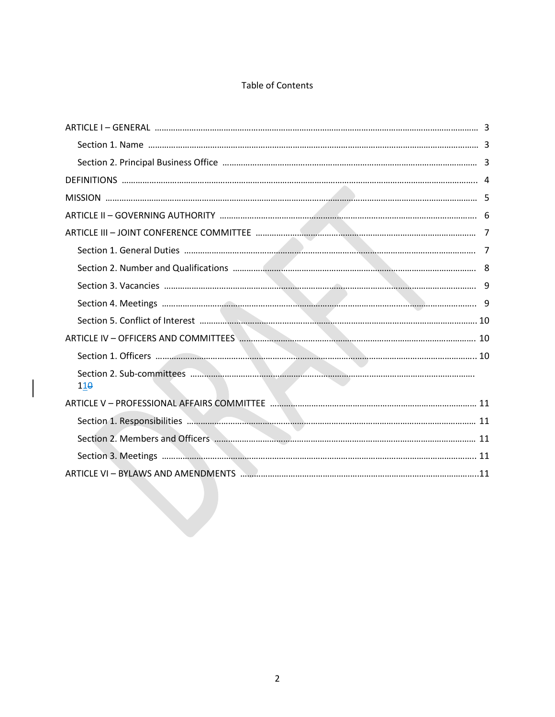#### Table of Contents

| $11\theta$ |  |
|------------|--|
|            |  |
|            |  |
|            |  |
|            |  |
|            |  |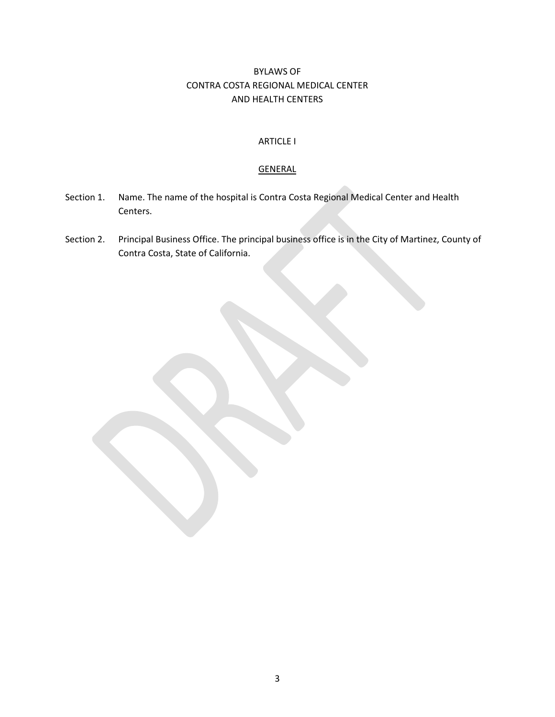#### BYLAWS OF CONTRA COSTA REGIONAL MEDICAL CENTER AND HEALTH CENTERS

#### ARTICLE I

#### **GENERAL**

- Section 1. Name. The name of the hospital is Contra Costa Regional Medical Center and Health Centers.
- Section 2. Principal Business Office. The principal business office is in the City of Martinez, County of Contra Costa, State of California.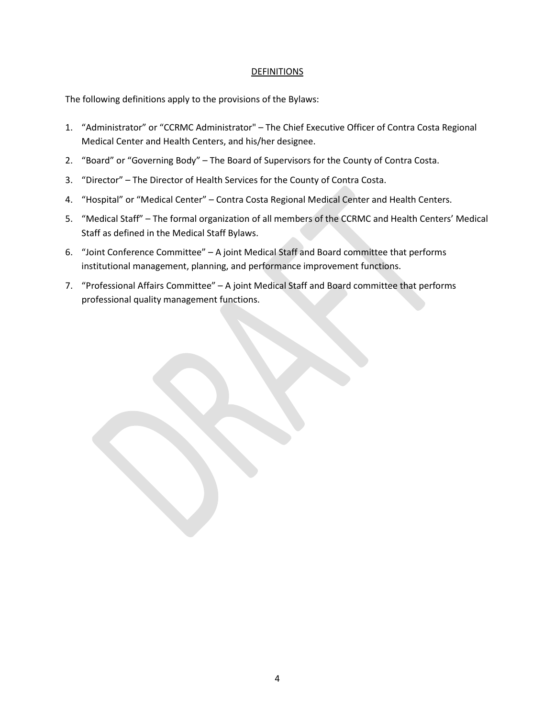#### **DEFINITIONS**

The following definitions apply to the provisions of the Bylaws:

- 1. "Administrator" or "CCRMC Administrator" The Chief Executive Officer of Contra Costa Regional Medical Center and Health Centers, and his/her designee.
- 2. "Board" or "Governing Body" The Board of Supervisors for the County of Contra Costa.
- 3. "Director" The Director of Health Services for the County of Contra Costa.
- 4. "Hospital" or "Medical Center" Contra Costa Regional Medical Center and Health Centers.
- 5. "Medical Staff" The formal organization of all members of the CCRMC and Health Centers' Medical Staff as defined in the Medical Staff Bylaws.
- 6. "Joint Conference Committee" A joint Medical Staff and Board committee that performs institutional management, planning, and performance improvement functions.
- 7. "Professional Affairs Committee" A joint Medical Staff and Board committee that performs professional quality management functions.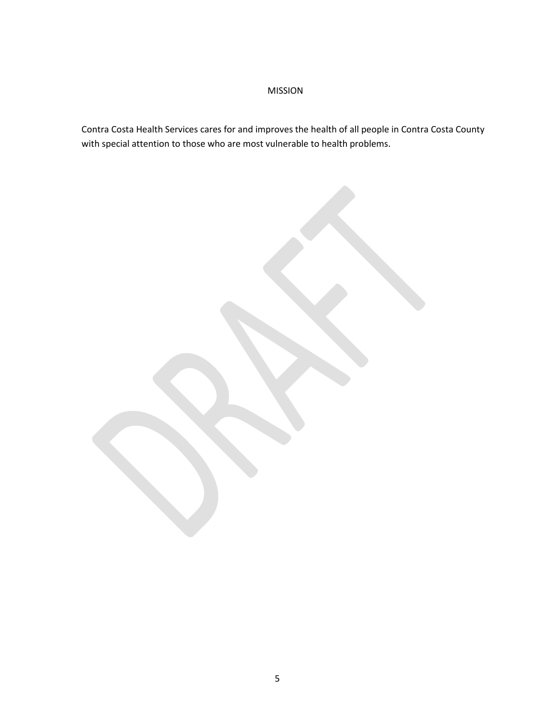#### MISSION

Contra Costa Health Services cares for and improves the health of all people in Contra Costa County with special attention to those who are most vulnerable to health problems.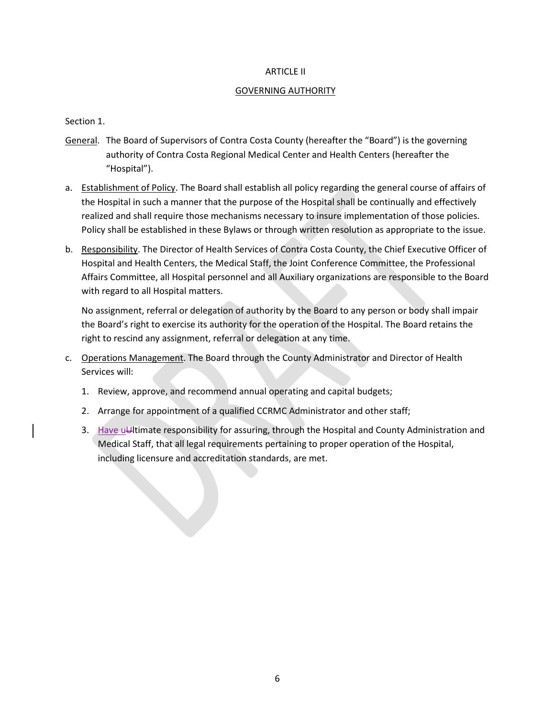#### ARTICLE II

#### GOVERNING AUTHORITY

Section 1.

- General. The Board of Supervisors of Contra Costa County (hereafter the "Board") is the governing authority of Contra Costa Regional Medical Center and Health Centers (hereafter the "Hospital").
- a. Establishment of Policy. The Board shall establish all policy regarding the general course of affairs of the Hospital in such a manner that the purpose of the Hospital shall be continually and effectively realized and shall require those mechanisms necessary to insure implementation of those policies. Policy shall be established in these Bylaws or through written resolution as appropriate to the issue.
- b. Responsibility. The Director of Health Services of Contra Costa County, the Chief Executive Officer of Hospital and Health Centers, the Medical Staff, the Joint Conference Committee, the Professional Affairs Committee, all Hospital personnel and all Auxiliary organizations are responsible to the Board with regard to all Hospital matters.

No assignment, referral or delegation of authority by the Board to any person or body shall impair the Board's right to exercise its authority for the operation of the Hospital. The Board retains the right to rescind any assignment, referral or delegation at any time.

- c. Operations Management. The Board through the County Administrator and Director of Health Services will:
	- 1. Review, approve, and recommend annual operating and capital budgets;
	- 2. Arrange for appointment of a qualified CCRMC Administrator and other staff;
	- 3. Have uUltimate responsibility for assuring, through the Hospital and County Administration and Medical Staff, that all legal requirements pertaining to proper operation of the Hospital, including licensure and accreditation standards, are met.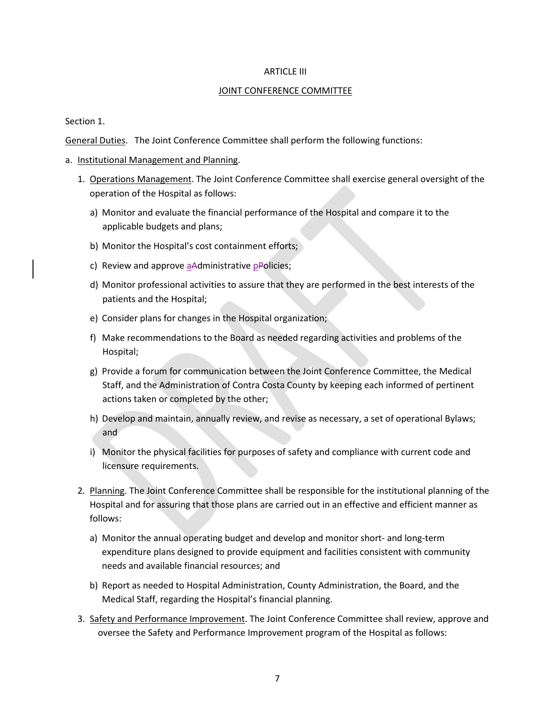#### ARTICLE III

#### JOINT CONFERENCE COMMITTEE

Section 1.

General Duties. The Joint Conference Committee shall perform the following functions:

- a. Institutional Management and Planning.
	- 1. Operations Management. The Joint Conference Committee shall exercise general oversight of the operation of the Hospital as follows:
		- a) Monitor and evaluate the financial performance of the Hospital and compare it to the applicable budgets and plans;
		- b) Monitor the Hospital's cost containment efforts;
		- c) Review and approve aAdministrative pPolicies;
		- d) Monitor professional activities to assure that they are performed in the best interests of the patients and the Hospital;
		- e) Consider plans for changes in the Hospital organization;
		- f) Make recommendations to the Board as needed regarding activities and problems of the Hospital;
		- g) Provide a forum for communication between the Joint Conference Committee, the Medical Staff, and the Administration of Contra Costa County by keeping each informed of pertinent actions taken or completed by the other;
		- h) Develop and maintain, annually review, and revise as necessary, a set of operational Bylaws; and
		- i) Monitor the physical facilities for purposes of safety and compliance with current code and licensure requirements.
	- 2. Planning. The Joint Conference Committee shall be responsible for the institutional planning of the Hospital and for assuring that those plans are carried out in an effective and efficient manner as follows:
		- a) Monitor the annual operating budget and develop and monitor short- and long-term expenditure plans designed to provide equipment and facilities consistent with community needs and available financial resources; and
		- b) Report as needed to Hospital Administration, County Administration, the Board, and the Medical Staff, regarding the Hospital's financial planning.
	- 3. Safety and Performance Improvement. The Joint Conference Committee shall review, approve and oversee the Safety and Performance Improvement program of the Hospital as follows: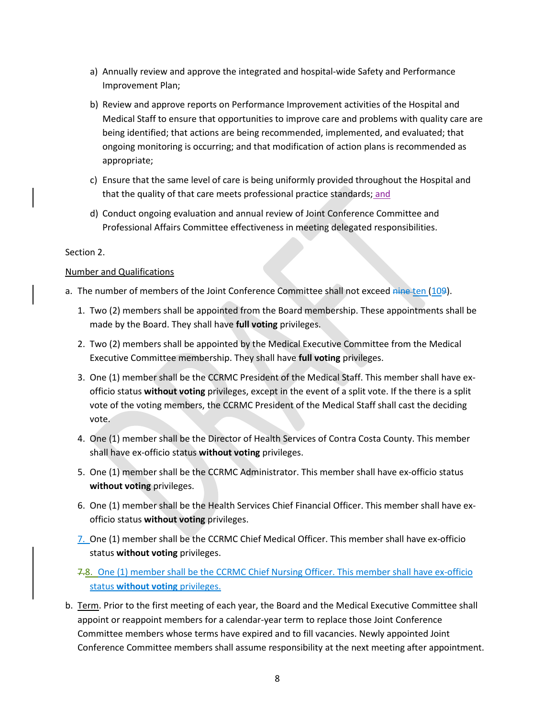- a) Annually review and approve the integrated and hospital-wide Safety and Performance Improvement Plan;
- b) Review and approve reports on Performance Improvement activities of the Hospital and Medical Staff to ensure that opportunities to improve care and problems with quality care are being identified; that actions are being recommended, implemented, and evaluated; that ongoing monitoring is occurring; and that modification of action plans is recommended as appropriate;
- c) Ensure that the same level of care is being uniformly provided throughout the Hospital and that the quality of that care meets professional practice standards; and
- d) Conduct ongoing evaluation and annual review of Joint Conference Committee and Professional Affairs Committee effectiveness in meeting delegated responsibilities.

#### Section 2.

#### Number and Qualifications

- a. The number of members of the Joint Conference Committee shall not exceed nine ten (109).
	- 1. Two (2) members shall be appointed from the Board membership. These appointments shall be made by the Board. They shall have **full voting** privileges.
	- 2. Two (2) members shall be appointed by the Medical Executive Committee from the Medical Executive Committee membership. They shall have **full voting** privileges.
	- 3. One (1) member shall be the CCRMC President of the Medical Staff. This member shall have exofficio status **without voting** privileges, except in the event of a split vote. If the there is a split vote of the voting members, the CCRMC President of the Medical Staff shall cast the deciding vote.
	- 4. One (1) member shall be the Director of Health Services of Contra Costa County. This member shall have ex-officio status **without voting** privileges.
	- 5. One (1) member shall be the CCRMC Administrator. This member shall have ex-officio status **without voting** privileges.
	- 6. One (1) member shall be the Health Services Chief Financial Officer. This member shall have exofficio status **without voting** privileges.
	- 7. One (1) member shall be the CCRMC Chief Medical Officer. This member shall have ex-officio status **without voting** privileges.
	- 7.8. One (1) member shall be the CCRMC Chief Nursing Officer. This member shall have ex-officio status **without voting** privileges.
- b. Term. Prior to the first meeting of each year, the Board and the Medical Executive Committee shall appoint or reappoint members for a calendar-year term to replace those Joint Conference Committee members whose terms have expired and to fill vacancies. Newly appointed Joint Conference Committee members shall assume responsibility at the next meeting after appointment.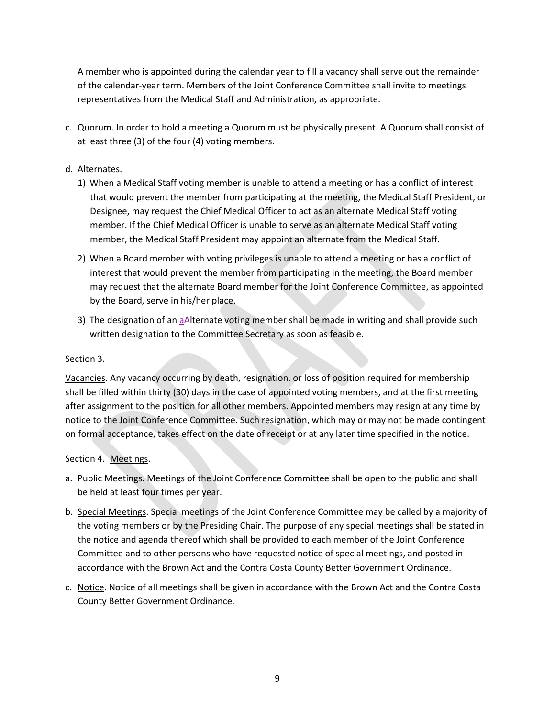A member who is appointed during the calendar year to fill a vacancy shall serve out the remainder of the calendar-year term. Members of the Joint Conference Committee shall invite to meetings representatives from the Medical Staff and Administration, as appropriate.

c. Quorum. In order to hold a meeting a Quorum must be physically present. A Quorum shall consist of at least three (3) of the four (4) voting members.

#### d. Alternates.

- 1) When a Medical Staff voting member is unable to attend a meeting or has a conflict of interest that would prevent the member from participating at the meeting, the Medical Staff President, or Designee, may request the Chief Medical Officer to act as an alternate Medical Staff voting member. If the Chief Medical Officer is unable to serve as an alternate Medical Staff voting member, the Medical Staff President may appoint an alternate from the Medical Staff.
- 2) When a Board member with voting privileges is unable to attend a meeting or has a conflict of interest that would prevent the member from participating in the meeting, the Board member may request that the alternate Board member for the Joint Conference Committee, as appointed by the Board, serve in his/her place.
- 3) The designation of an aAlternate voting member shall be made in writing and shall provide such written designation to the Committee Secretary as soon as feasible.

#### Section 3.

Vacancies. Any vacancy occurring by death, resignation, or loss of position required for membership shall be filled within thirty (30) days in the case of appointed voting members, and at the first meeting after assignment to the position for all other members. Appointed members may resign at any time by notice to the Joint Conference Committee. Such resignation, which may or may not be made contingent on formal acceptance, takes effect on the date of receipt or at any later time specified in the notice.

#### Section 4. Meetings.

- a. Public Meetings. Meetings of the Joint Conference Committee shall be open to the public and shall be held at least four times per year.
- b. Special Meetings. Special meetings of the Joint Conference Committee may be called by a majority of the voting members or by the Presiding Chair. The purpose of any special meetings shall be stated in the notice and agenda thereof which shall be provided to each member of the Joint Conference Committee and to other persons who have requested notice of special meetings, and posted in accordance with the Brown Act and the Contra Costa County Better Government Ordinance.
- c. Notice. Notice of all meetings shall be given in accordance with the Brown Act and the Contra Costa County Better Government Ordinance.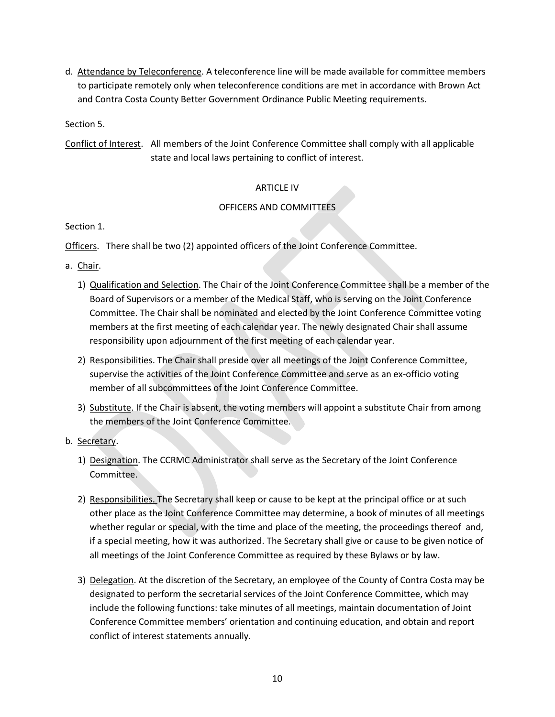d. Attendance by Teleconference. A teleconference line will be made available for committee members to participate remotely only when teleconference conditions are met in accordance with Brown Act and Contra Costa County Better Government Ordinance Public Meeting requirements.

Section 5.

Conflict of Interest. All members of the Joint Conference Committee shall comply with all applicable state and local laws pertaining to conflict of interest.

#### ARTICLE IV

#### OFFICERS AND COMMITTEES

Section 1.

Officers. There shall be two (2) appointed officers of the Joint Conference Committee.

- a. Chair.
	- 1) Qualification and Selection. The Chair of the Joint Conference Committee shall be a member of the Board of Supervisors or a member of the Medical Staff, who is serving on the Joint Conference Committee. The Chair shall be nominated and elected by the Joint Conference Committee voting members at the first meeting of each calendar year. The newly designated Chair shall assume responsibility upon adjournment of the first meeting of each calendar year.
	- 2) Responsibilities. The Chair shall preside over all meetings of the Joint Conference Committee, supervise the activities of the Joint Conference Committee and serve as an ex-officio voting member of all subcommittees of the Joint Conference Committee.
	- 3) Substitute. If the Chair is absent, the voting members will appoint a substitute Chair from among the members of the Joint Conference Committee.
- b. Secretary.
	- 1) Designation. The CCRMC Administrator shall serve as the Secretary of the Joint Conference Committee.
	- 2) Responsibilities. The Secretary shall keep or cause to be kept at the principal office or at such other place as the Joint Conference Committee may determine, a book of minutes of all meetings whether regular or special, with the time and place of the meeting, the proceedings thereof and, if a special meeting, how it was authorized. The Secretary shall give or cause to be given notice of all meetings of the Joint Conference Committee as required by these Bylaws or by law.
	- 3) Delegation. At the discretion of the Secretary, an employee of the County of Contra Costa may be designated to perform the secretarial services of the Joint Conference Committee, which may include the following functions: take minutes of all meetings, maintain documentation of Joint Conference Committee members' orientation and continuing education, and obtain and report conflict of interest statements annually.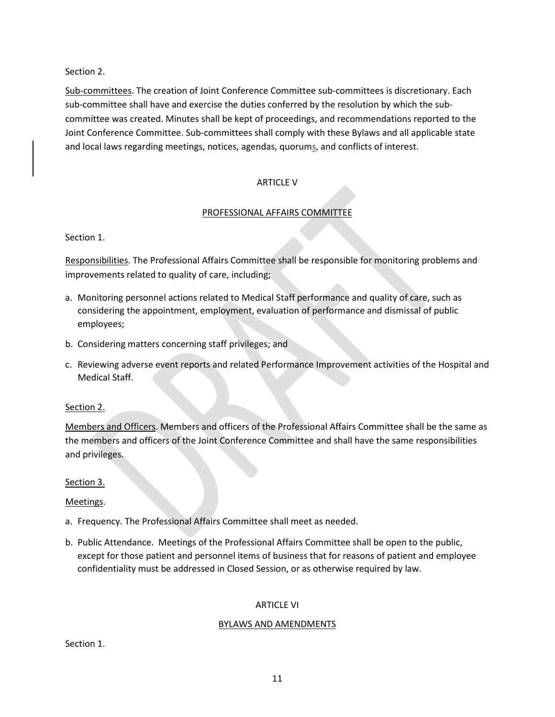Section 2.

Sub-committees. The creation of Joint Conference Committee sub-committees is discretionary. Each sub-committee shall have and exercise the duties conferred by the resolution by which the subcommittee was created. Minutes shall be kept of proceedings, and recommendations reported to the Joint Conference Committee. Sub-committees shall comply with these Bylaws and all applicable state and local laws regarding meetings, notices, agendas, quorums, and conflicts of interest.

#### **ARTICLE V**

#### PROFESSIONAL AFFAIRS COMMITTEE

#### Section 1.

Responsibilities. The Professional Affairs Committee shall be responsible for monitoring problems and improvements related to quality of care, including;

- a. Monitoring personnel actions related to Medical Staff performance and quality of care, such as considering the appointment, employment, evaluation of performance and dismissal of public employees;
- b. Considering matters concerning staff privileges; and
- c. Reviewing adverse event reports and related Performance Improvement activities of the Hospital and Medical Staff.

#### Section 2.

Members and Officers. Members and officers of the Professional Affairs Committee shall be the same as the members and officers of the Joint Conference Committee and shall have the same responsibilities and privileges.

#### Section 3.

#### Meetings.

- a. Frequency. The Professional Affairs Committee shall meet as needed.
- b. Public Attendance. Meetings of the Professional Affairs Committee shall be open to the public, except for those patient and personnel items of business that for reasons of patient and employee confidentiality must be addressed in Closed Session, or as otherwise required by law.

#### ARTICLE VI

#### BYLAWS AND AMENDMENTS

Section 1.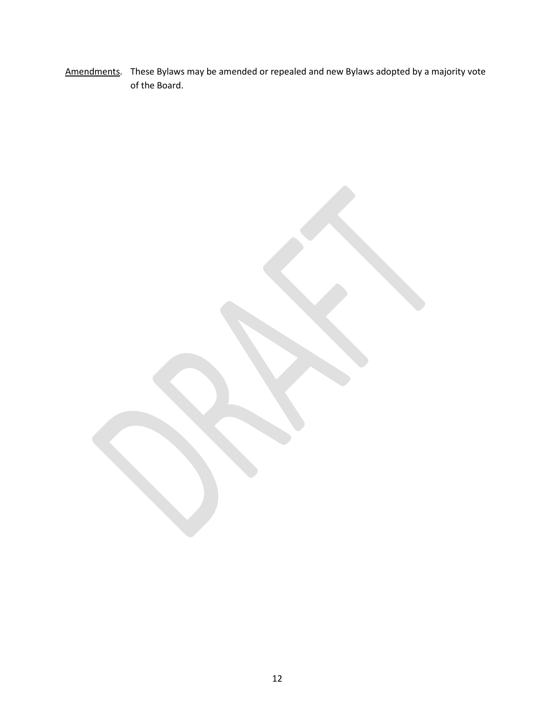Amendments. These Bylaws may be amended or repealed and new Bylaws adopted by a majority vote of the Board.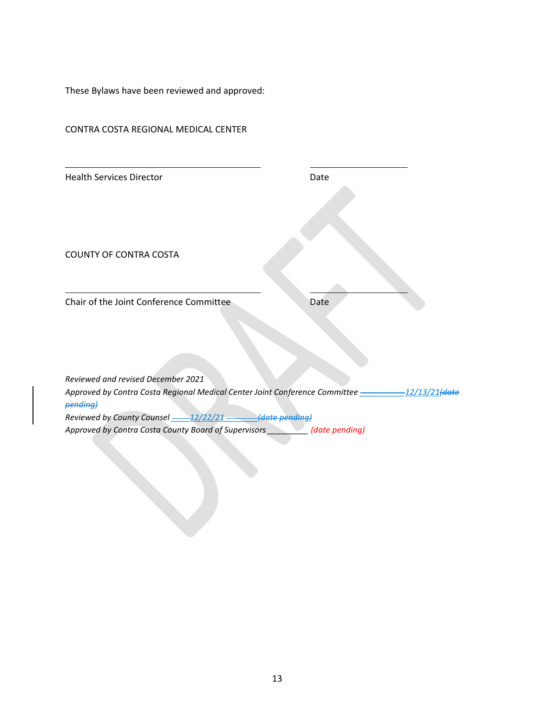These Bylaws have been reviewed and approved:

| <b>Health Services Director</b>                          | Date           |
|----------------------------------------------------------|----------------|
| <b>COUNTY OF CONTRA COSTA</b>                            |                |
| Chair of the Joint Conference Committee                  | Date           |
| Reviewed and revised December 2021                       |                |
| pending)                                                 |                |
| Reviewed by County Counsel -- 12/22/21 -- (date pending) |                |
| Approved by Contra Costa County Board of Supervisors     | (date pending) |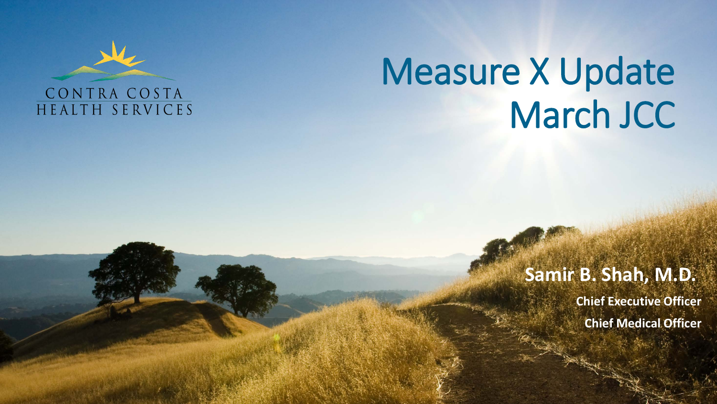

# Measure X Update March JCC

## **Samir B. Shah, M.D.**

**Chief Executive Officer Chief Medical Officer**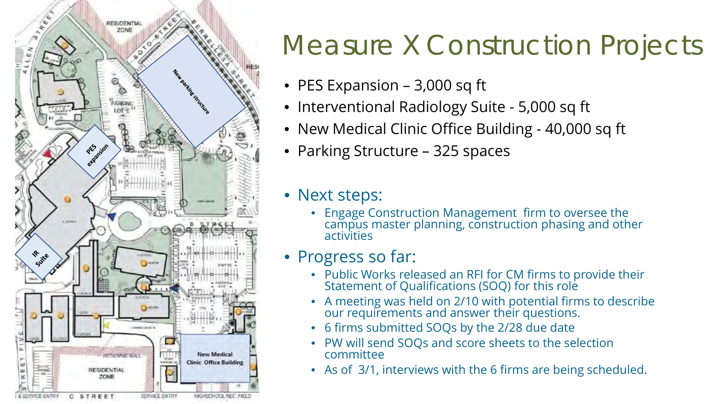

## Measure X Construction Projects

- PES Expansion 3,000 sq ft
- Interventional Radiology Suite 5,000 sq ft
- New Medical Clinic Office Building 40,000 sq ft
- Parking Structure 325 spaces

• Next steps:

• Engage Construction Management firm to oversee the campus master planning, construction phasing and other activities

## • Progress so far:

- Public Works released an RFI for CM firms to provide their Statement of Qualifications (SOQ) for this role
- A meeting was held on 2/10 with potential firms to describe our requirements and answer their questions.
- 6 firms submitted SOQs by the 2/28 due date
- PW will send SOQs and score sheets to the selection committee
- As of 3/1, interviews with the 6 firms are being scheduled.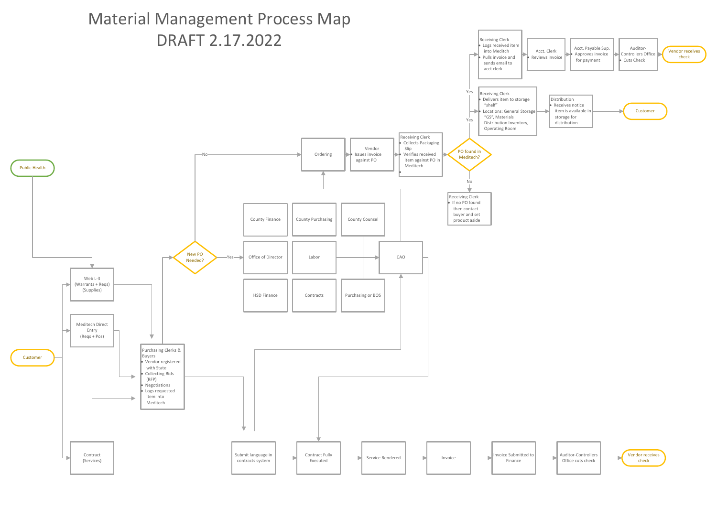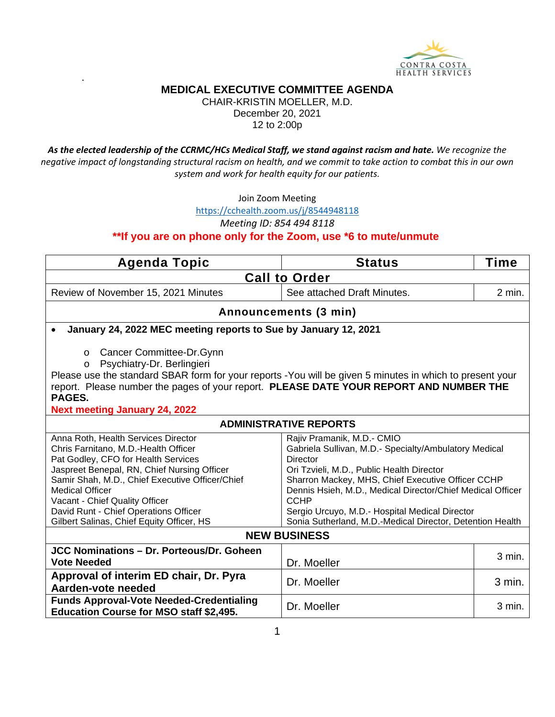

.

CHAIR-KRISTIN MOELLER, M.D. December 20, 2021 12 to 2:00p

*As the elected leadership of the CCRMC/HCs Medical Staff, we stand against racism and hate. We recognize the negative impact of longstanding structural racism on health, and we commit to take action to combat this in our own system and work for health equity for our patients.*

Join Zoom Meeting

<https://cchealth.zoom.us/j/8544948118>

*Meeting ID: 854 494 8118*

**\*\*If you are on phone only for the Zoom, use \*6 to mute/unmute** 

| <b>Agenda Topic</b>                                                                                                                                                                                                                                                                                                                                                                                                                                                                                                                                                                                                                                                                                                                                              | <b>Status</b>                 | Time   |  |
|------------------------------------------------------------------------------------------------------------------------------------------------------------------------------------------------------------------------------------------------------------------------------------------------------------------------------------------------------------------------------------------------------------------------------------------------------------------------------------------------------------------------------------------------------------------------------------------------------------------------------------------------------------------------------------------------------------------------------------------------------------------|-------------------------------|--------|--|
| <b>Call to Order</b>                                                                                                                                                                                                                                                                                                                                                                                                                                                                                                                                                                                                                                                                                                                                             |                               |        |  |
| Review of November 15, 2021 Minutes                                                                                                                                                                                                                                                                                                                                                                                                                                                                                                                                                                                                                                                                                                                              | See attached Draft Minutes.   | 2 min. |  |
|                                                                                                                                                                                                                                                                                                                                                                                                                                                                                                                                                                                                                                                                                                                                                                  | Announcements (3 min)         |        |  |
| January 24, 2022 MEC meeting reports to Sue by January 12, 2021                                                                                                                                                                                                                                                                                                                                                                                                                                                                                                                                                                                                                                                                                                  |                               |        |  |
| Cancer Committee-Dr.Gynn<br>O<br>Psychiatry-Dr. Berlingieri<br>$\circ$<br>Please use the standard SBAR form for your reports - You will be given 5 minutes in which to present your<br>report. Please number the pages of your report. PLEASE DATE YOUR REPORT AND NUMBER THE<br><b>PAGES.</b><br><b>Next meeting January 24, 2022</b>                                                                                                                                                                                                                                                                                                                                                                                                                           |                               |        |  |
|                                                                                                                                                                                                                                                                                                                                                                                                                                                                                                                                                                                                                                                                                                                                                                  | <b>ADMINISTRATIVE REPORTS</b> |        |  |
| Anna Roth, Health Services Director<br>Rajiv Pramanik, M.D.- CMIO<br>Chris Farnitano, M.D.-Health Officer<br>Gabriela Sullivan, M.D.- Specialty/Ambulatory Medical<br>Pat Godley, CFO for Health Services<br>Director<br>Jaspreet Benepal, RN, Chief Nursing Officer<br>Ori Tzvieli, M.D., Public Health Director<br>Samir Shah, M.D., Chief Executive Officer/Chief<br>Sharron Mackey, MHS, Chief Executive Officer CCHP<br>Dennis Hsieh, M.D., Medical Director/Chief Medical Officer<br><b>Medical Officer</b><br>Vacant - Chief Quality Officer<br>CCHP<br>David Runt - Chief Operations Officer<br>Sergio Urcuyo, M.D.- Hospital Medical Director<br>Gilbert Salinas, Chief Equity Officer, HS<br>Sonia Sutherland, M.D.-Medical Director, Detention Health |                               |        |  |
| <b>NEW BUSINESS</b>                                                                                                                                                                                                                                                                                                                                                                                                                                                                                                                                                                                                                                                                                                                                              |                               |        |  |
| JCC Nominations - Dr. Porteous/Dr. Goheen<br><b>Vote Needed</b><br>Approval of interim ED chair, Dr. Pyra                                                                                                                                                                                                                                                                                                                                                                                                                                                                                                                                                                                                                                                        | Dr. Moeller                   | 3 min. |  |
| Aarden-vote needed                                                                                                                                                                                                                                                                                                                                                                                                                                                                                                                                                                                                                                                                                                                                               | Dr. Moeller                   | 3 min. |  |
| <b>Funds Approval-Vote Needed-Credentialing</b><br><b>Education Course for MSO staff \$2,495.</b>                                                                                                                                                                                                                                                                                                                                                                                                                                                                                                                                                                                                                                                                | Dr. Moeller                   | 3 min. |  |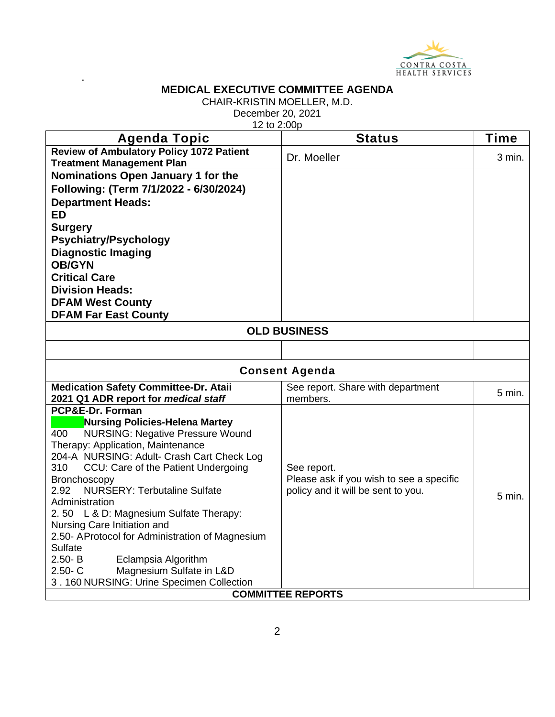

.

CHAIR-KRISTIN MOELLER, M.D.

December 20, 2021

12 to 2:00p

| <b>Agenda Topic</b>                                                                 | <b>Status</b>                            | Time     |  |
|-------------------------------------------------------------------------------------|------------------------------------------|----------|--|
| <b>Review of Ambulatory Policy 1072 Patient</b>                                     | Dr. Moeller                              | 3 min.   |  |
| <b>Treatment Management Plan</b>                                                    |                                          |          |  |
| Nominations Open January 1 for the                                                  |                                          |          |  |
| Following: (Term 7/1/2022 - 6/30/2024)                                              |                                          |          |  |
| <b>Department Heads:</b>                                                            |                                          |          |  |
| <b>ED</b>                                                                           |                                          |          |  |
| <b>Surgery</b>                                                                      |                                          |          |  |
| <b>Psychiatry/Psychology</b>                                                        |                                          |          |  |
| <b>Diagnostic Imaging</b>                                                           |                                          |          |  |
| <b>OB/GYN</b>                                                                       |                                          |          |  |
| <b>Critical Care</b>                                                                |                                          |          |  |
| <b>Division Heads:</b>                                                              |                                          |          |  |
| <b>DFAM West County</b>                                                             |                                          |          |  |
| <b>DFAM Far East County</b>                                                         |                                          |          |  |
|                                                                                     | <b>OLD BUSINESS</b>                      |          |  |
|                                                                                     |                                          |          |  |
| <b>Consent Agenda</b>                                                               |                                          |          |  |
| <b>Medication Safety Committee-Dr. Atail</b><br>See report. Share with department   |                                          |          |  |
| 2021 Q1 ADR report for medical staff                                                | members.                                 | 5 min.   |  |
| PCP&E-Dr. Forman                                                                    |                                          |          |  |
| <b>Nursing Policies-Helena Martey</b>                                               |                                          |          |  |
| 400<br><b>NURSING: Negative Pressure Wound</b><br>Therapy: Application, Maintenance |                                          |          |  |
| 204-A NURSING: Adult- Crash Cart Check Log                                          |                                          |          |  |
| 310<br>CCU: Care of the Patient Undergoing                                          | See report.                              |          |  |
| Bronchoscopy                                                                        | Please ask if you wish to see a specific |          |  |
| 2.92<br><b>NURSERY: Terbutaline Sulfate</b>                                         | policy and it will be sent to you.       | $5$ min. |  |
| Administration                                                                      |                                          |          |  |
| 2.50 L & D: Magnesium Sulfate Therapy:                                              |                                          |          |  |
| Nursing Care Initiation and                                                         |                                          |          |  |
| 2.50- AProtocol for Administration of Magnesium<br>Sulfate                          |                                          |          |  |
| Eclampsia Algorithm<br>$2.50 - B$                                                   |                                          |          |  |
| Magnesium Sulfate in L&D<br>$2.50 - C$                                              |                                          |          |  |
| 3.160 NURSING: Urine Specimen Collection                                            |                                          |          |  |
| <b>COMMITTEE REPORTS</b>                                                            |                                          |          |  |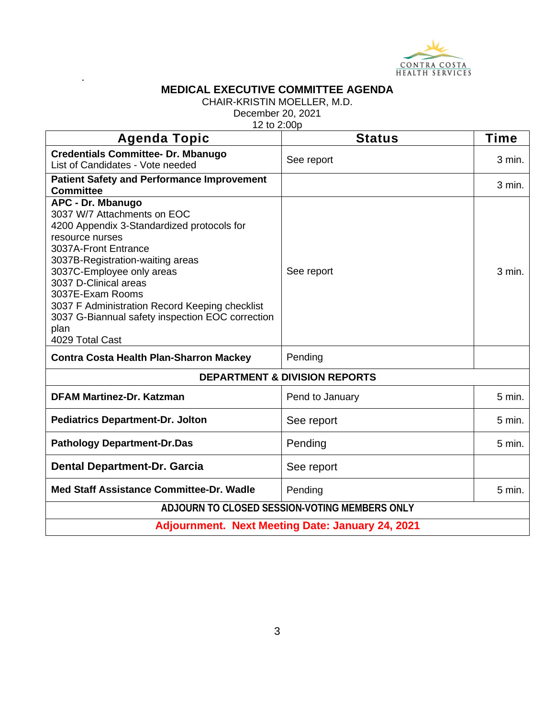

.

CHAIR-KRISTIN MOELLER, M.D.

December 20, 2021

12 to 2:00p

| <b>Agenda Topic</b>                                                                                                                                                                                                                                                                                                                                                                      | <b>Status</b>   | <b>Time</b> |  |
|------------------------------------------------------------------------------------------------------------------------------------------------------------------------------------------------------------------------------------------------------------------------------------------------------------------------------------------------------------------------------------------|-----------------|-------------|--|
| <b>Credentials Committee- Dr. Mbanugo</b><br>List of Candidates - Vote needed                                                                                                                                                                                                                                                                                                            | See report      | 3 min.      |  |
| <b>Patient Safety and Performance Improvement</b><br><b>Committee</b>                                                                                                                                                                                                                                                                                                                    |                 | $3$ min.    |  |
| APC - Dr. Mbanugo<br>3037 W/7 Attachments on EOC<br>4200 Appendix 3-Standardized protocols for<br>resource nurses<br>3037A-Front Entrance<br>3037B-Registration-waiting areas<br>3037C-Employee only areas<br>3037 D-Clinical areas<br>3037E-Exam Rooms<br>3037 F Administration Record Keeping checklist<br>3037 G-Biannual safety inspection EOC correction<br>plan<br>4029 Total Cast | See report      | 3 min.      |  |
| <b>Contra Costa Health Plan-Sharron Mackey</b>                                                                                                                                                                                                                                                                                                                                           | Pending         |             |  |
| <b>DEPARTMENT &amp; DIVISION REPORTS</b>                                                                                                                                                                                                                                                                                                                                                 |                 |             |  |
| <b>DFAM Martinez-Dr. Katzman</b>                                                                                                                                                                                                                                                                                                                                                         | Pend to January | $5$ min.    |  |
| <b>Pediatrics Department-Dr. Jolton</b>                                                                                                                                                                                                                                                                                                                                                  | See report      | 5 min.      |  |
| <b>Pathology Department-Dr.Das</b>                                                                                                                                                                                                                                                                                                                                                       | Pending         | 5 min.      |  |
| <b>Dental Department-Dr. Garcia</b>                                                                                                                                                                                                                                                                                                                                                      | See report      |             |  |
| Med Staff Assistance Committee-Dr. Wadle                                                                                                                                                                                                                                                                                                                                                 | Pending         | 5 min.      |  |
| ADJOURN TO CLOSED SESSION-VOTING MEMBERS ONLY                                                                                                                                                                                                                                                                                                                                            |                 |             |  |
| <b>Adjournment. Next Meeting Date: January 24, 2021</b>                                                                                                                                                                                                                                                                                                                                  |                 |             |  |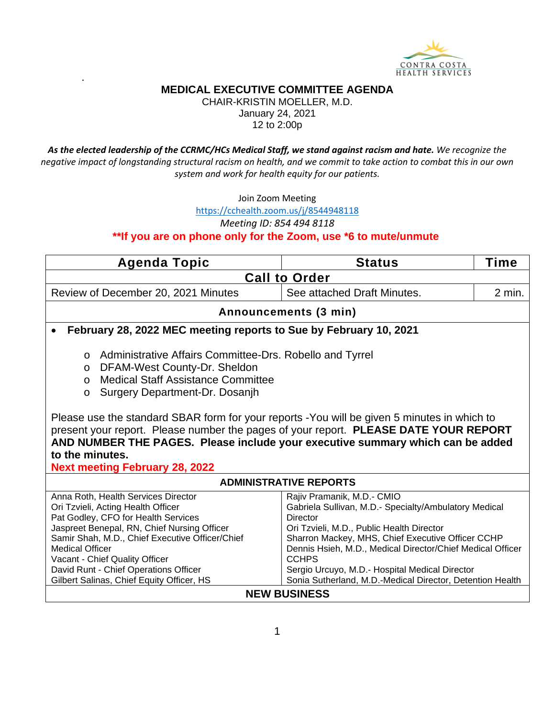

.

CHAIR-KRISTIN MOELLER, M.D. January 24, 2021 12 to 2:00p

*As the elected leadership of the CCRMC/HCs Medical Staff, we stand against racism and hate. We recognize the negative impact of longstanding structural racism on health, and we commit to take action to combat this in our own system and work for health equity for our patients.*

Join Zoom Meeting

<https://cchealth.zoom.us/j/8544948118>

*Meeting ID: 854 494 8118*

**\*\*If you are on phone only for the Zoom, use \*6 to mute/unmute** 

| <b>Agenda Topic</b>                                                                                                                                                                                                                                                                                                                                                                                                                                                                                                                                       | <b>Status</b>                                                                                                                                                                                                                                                                                                                                                                                         | Time   |  |
|-----------------------------------------------------------------------------------------------------------------------------------------------------------------------------------------------------------------------------------------------------------------------------------------------------------------------------------------------------------------------------------------------------------------------------------------------------------------------------------------------------------------------------------------------------------|-------------------------------------------------------------------------------------------------------------------------------------------------------------------------------------------------------------------------------------------------------------------------------------------------------------------------------------------------------------------------------------------------------|--------|--|
| <b>Call to Order</b>                                                                                                                                                                                                                                                                                                                                                                                                                                                                                                                                      |                                                                                                                                                                                                                                                                                                                                                                                                       |        |  |
| Review of December 20, 2021 Minutes                                                                                                                                                                                                                                                                                                                                                                                                                                                                                                                       | See attached Draft Minutes.                                                                                                                                                                                                                                                                                                                                                                           | 2 min. |  |
|                                                                                                                                                                                                                                                                                                                                                                                                                                                                                                                                                           | Announcements (3 min)                                                                                                                                                                                                                                                                                                                                                                                 |        |  |
| February 28, 2022 MEC meeting reports to Sue by February 10, 2021                                                                                                                                                                                                                                                                                                                                                                                                                                                                                         |                                                                                                                                                                                                                                                                                                                                                                                                       |        |  |
| Administrative Affairs Committee-Drs. Robello and Tyrrel<br>$\circ$<br>DFAM-West County-Dr. Sheldon<br>$\circ$<br><b>Medical Staff Assistance Committee</b><br>$\Omega$<br>Surgery Department-Dr. Dosanjh<br>$\circ$<br>Please use the standard SBAR form for your reports -You will be given 5 minutes in which to<br>present your report. Please number the pages of your report. PLEASE DATE YOUR REPORT<br>AND NUMBER THE PAGES. Please include your executive summary which can be added<br>to the minutes.<br><b>Next meeting February 28, 2022</b> |                                                                                                                                                                                                                                                                                                                                                                                                       |        |  |
| <b>ADMINISTRATIVE REPORTS</b>                                                                                                                                                                                                                                                                                                                                                                                                                                                                                                                             |                                                                                                                                                                                                                                                                                                                                                                                                       |        |  |
| Anna Roth, Health Services Director<br>Ori Tzvieli, Acting Health Officer<br>Pat Godley, CFO for Health Services<br>Jaspreet Benepal, RN, Chief Nursing Officer<br>Samir Shah, M.D., Chief Executive Officer/Chief<br><b>Medical Officer</b><br>Vacant - Chief Quality Officer<br>David Runt - Chief Operations Officer<br>Gilbert Salinas, Chief Equity Officer, HS                                                                                                                                                                                      | Rajiv Pramanik, M.D.- CMIO<br>Gabriela Sullivan, M.D.- Specialty/Ambulatory Medical<br><b>Director</b><br>Ori Tzvieli, M.D., Public Health Director<br>Sharron Mackey, MHS, Chief Executive Officer CCHP<br>Dennis Hsieh, M.D., Medical Director/Chief Medical Officer<br><b>CCHPS</b><br>Sergio Urcuyo, M.D.- Hospital Medical Director<br>Sonia Sutherland, M.D.-Medical Director, Detention Health |        |  |

#### **NEW BUSINESS**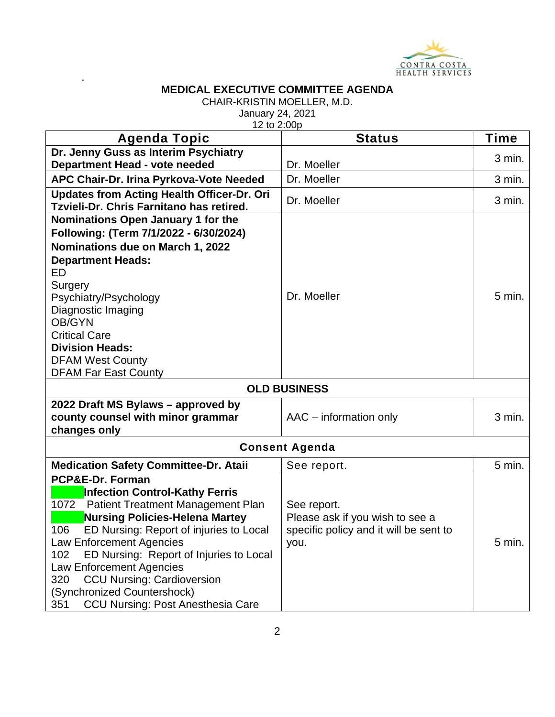

.

CHAIR-KRISTIN MOELLER, M.D.

January 24, 2021

| 12 to 2:00p                                                                                                                                                                                                                                                                                                                                                                                                                                             |                                                                                                  |          |
|---------------------------------------------------------------------------------------------------------------------------------------------------------------------------------------------------------------------------------------------------------------------------------------------------------------------------------------------------------------------------------------------------------------------------------------------------------|--------------------------------------------------------------------------------------------------|----------|
| Agenda Topic                                                                                                                                                                                                                                                                                                                                                                                                                                            | <b>Status</b>                                                                                    | Time     |
| Dr. Jenny Guss as Interim Psychiatry<br>Department Head - vote needed                                                                                                                                                                                                                                                                                                                                                                                   | Dr. Moeller                                                                                      | 3 min.   |
| APC Chair-Dr. Irina Pyrkova-Vote Needed                                                                                                                                                                                                                                                                                                                                                                                                                 | Dr. Moeller                                                                                      | 3 min.   |
| <b>Updates from Acting Health Officer-Dr. Ori</b><br>Tzvieli-Dr. Chris Farnitano has retired.                                                                                                                                                                                                                                                                                                                                                           | Dr. Moeller                                                                                      | 3 min.   |
| Nominations Open January 1 for the<br>Following: (Term 7/1/2022 - 6/30/2024)<br>Nominations due on March 1, 2022<br><b>Department Heads:</b><br>ED.<br>Surgery<br>Psychiatry/Psychology<br>Diagnostic Imaging<br>OB/GYN<br><b>Critical Care</b><br><b>Division Heads:</b><br><b>DFAM West County</b><br><b>DFAM Far East County</b>                                                                                                                     | Dr. Moeller                                                                                      | 5 min.   |
| <b>OLD BUSINESS</b>                                                                                                                                                                                                                                                                                                                                                                                                                                     |                                                                                                  |          |
| 2022 Draft MS Bylaws - approved by<br>county counsel with minor grammar<br>changes only                                                                                                                                                                                                                                                                                                                                                                 | AAC - information only                                                                           | 3 min.   |
| <b>Consent Agenda</b>                                                                                                                                                                                                                                                                                                                                                                                                                                   |                                                                                                  |          |
| <b>Medication Safety Committee-Dr. Ataii</b>                                                                                                                                                                                                                                                                                                                                                                                                            | See report.                                                                                      | $5$ min. |
| PCP&E-Dr. Forman<br><b>Infection Control-Kathy Ferris</b><br>1072<br><b>Patient Treatment Management Plan</b><br><b>Nursing Policies-Helena Martey</b><br>106<br>ED Nursing: Report of injuries to Local<br><b>Law Enforcement Agencies</b><br>ED Nursing: Report of Injuries to Local<br>102<br><b>Law Enforcement Agencies</b><br><b>CCU Nursing: Cardioversion</b><br>320<br>(Synchronized Countershock)<br>CCU Nursing: Post Anesthesia Care<br>351 | See report.<br>Please ask if you wish to see a<br>specific policy and it will be sent to<br>you. | 5 min.   |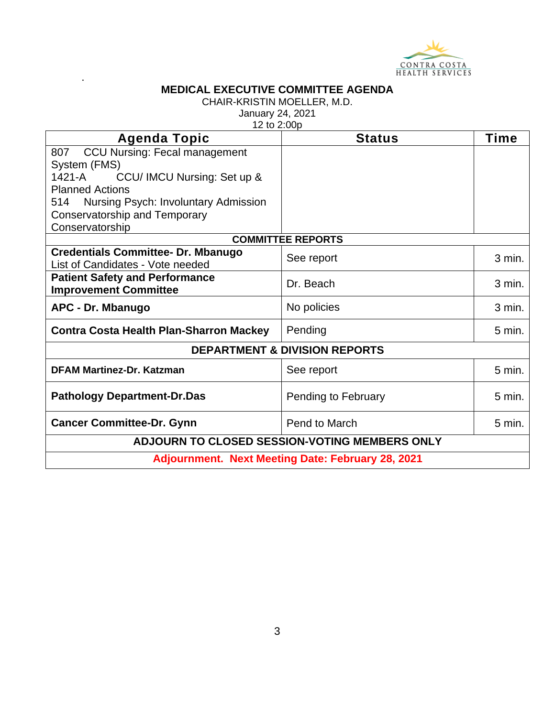

.

CHAIR-KRISTIN MOELLER, M.D.

January 24, 2021

12 to 2:00p

| <b>Agenda Topic</b>                               | <b>Status</b>            | <b>Time</b>      |
|---------------------------------------------------|--------------------------|------------------|
| <b>CCU Nursing: Fecal management</b><br>807       |                          |                  |
| System (FMS)                                      |                          |                  |
| 1421-A<br>CCU/ IMCU Nursing: Set up &             |                          |                  |
| <b>Planned Actions</b>                            |                          |                  |
| Nursing Psych: Involuntary Admission<br>514       |                          |                  |
| Conservatorship and Temporary                     |                          |                  |
| Conservatorship                                   |                          |                  |
|                                                   | <b>COMMITTEE REPORTS</b> |                  |
| <b>Credentials Committee- Dr. Mbanugo</b>         | See report               | 3 min.           |
| List of Candidates - Vote needed                  |                          |                  |
| <b>Patient Safety and Performance</b>             | Dr. Beach                | 3 min.           |
| <b>Improvement Committee</b>                      |                          |                  |
| APC - Dr. Mbanugo                                 | No policies              | 3 min.           |
| <b>Contra Costa Health Plan-Sharron Mackey</b>    | Pending                  | $5$ min.         |
| <b>DEPARTMENT &amp; DIVISION REPORTS</b>          |                          |                  |
| <b>DFAM Martinez-Dr. Katzman</b>                  | See report               | $5 \text{ min.}$ |
| <b>Pathology Department-Dr.Das</b>                | Pending to February      | $5 \text{ min.}$ |
| <b>Cancer Committee-Dr. Gynn</b>                  | Pend to March            | $5 \text{ min.}$ |
| ADJOURN TO CLOSED SESSION-VOTING MEMBERS ONLY     |                          |                  |
| Adjournment. Next Meeting Date: February 28, 2021 |                          |                  |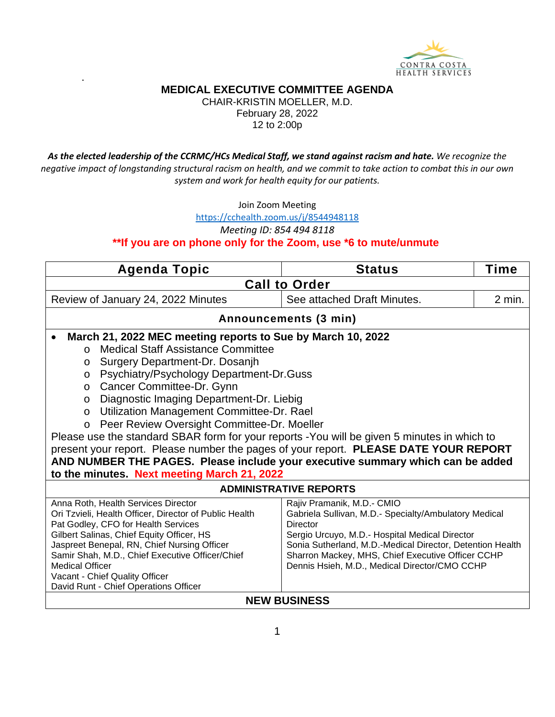

.

CHAIR-KRISTIN MOELLER, M.D. February 28, 2022 12 to 2:00p

*As the elected leadership of the CCRMC/HCs Medical Staff, we stand against racism and hate. We recognize the negative impact of longstanding structural racism on health, and we commit to take action to combat this in our own system and work for health equity for our patients.*

Join Zoom Meeting

<https://cchealth.zoom.us/j/8544948118>

*Meeting ID: 854 494 8118*

#### **\*\*If you are on phone only for the Zoom, use \*6 to mute/unmute**

| <b>Agenda Topic</b>                                                                                                                                                                                                                                                                                                                                                                                                                                                                                                                                                                                                                                                                                                | <b>Status</b>               | Time     |  |
|--------------------------------------------------------------------------------------------------------------------------------------------------------------------------------------------------------------------------------------------------------------------------------------------------------------------------------------------------------------------------------------------------------------------------------------------------------------------------------------------------------------------------------------------------------------------------------------------------------------------------------------------------------------------------------------------------------------------|-----------------------------|----------|--|
| <b>Call to Order</b>                                                                                                                                                                                                                                                                                                                                                                                                                                                                                                                                                                                                                                                                                               |                             |          |  |
| Review of January 24, 2022 Minutes                                                                                                                                                                                                                                                                                                                                                                                                                                                                                                                                                                                                                                                                                 | See attached Draft Minutes. | $2$ min. |  |
| Announcements (3 min)                                                                                                                                                                                                                                                                                                                                                                                                                                                                                                                                                                                                                                                                                              |                             |          |  |
| March 21, 2022 MEC meeting reports to Sue by March 10, 2022<br><b>Medical Staff Assistance Committee</b><br>$\Omega$<br>Surgery Department-Dr. Dosanjh<br>$\circ$<br>Psychiatry/Psychology Department-Dr.Guss<br>$\circ$<br>Cancer Committee-Dr. Gynn<br>$\circ$<br>Diagnostic Imaging Department-Dr. Liebig<br>$\circ$<br>Utilization Management Committee-Dr. Rael<br>$\circ$<br>Peer Review Oversight Committee-Dr. Moeller<br>$\circ$<br>Please use the standard SBAR form for your reports -You will be given 5 minutes in which to<br>present your report. Please number the pages of your report. PLEASE DATE YOUR REPORT<br>AND NUMBER THE PAGES. Please include your executive summary which can be added |                             |          |  |
| to the minutes. Next meeting March 21, 2022<br><b>ADMINISTRATIVE REPORTS</b>                                                                                                                                                                                                                                                                                                                                                                                                                                                                                                                                                                                                                                       |                             |          |  |
| Anna Roth, Health Services Director<br>Rajiv Pramanik, M.D.- CMIO<br>Ori Tzvieli, Health Officer, Director of Public Health<br>Gabriela Sullivan, M.D.- Specialty/Ambulatory Medical<br>Pat Godley, CFO for Health Services<br>Director<br>Gilbert Salinas, Chief Equity Officer, HS<br>Sergio Urcuyo, M.D.- Hospital Medical Director<br>Jaspreet Benepal, RN, Chief Nursing Officer<br>Sonia Sutherland, M.D.-Medical Director, Detention Health<br>Samir Shah, M.D., Chief Executive Officer/Chief<br>Sharron Mackey, MHS, Chief Executive Officer CCHP<br><b>Medical Officer</b><br>Dennis Hsieh, M.D., Medical Director/CMO CCHP<br>Vacant - Chief Quality Officer<br>David Runt - Chief Operations Officer   |                             |          |  |
| <b>NEW BUSINESS</b>                                                                                                                                                                                                                                                                                                                                                                                                                                                                                                                                                                                                                                                                                                |                             |          |  |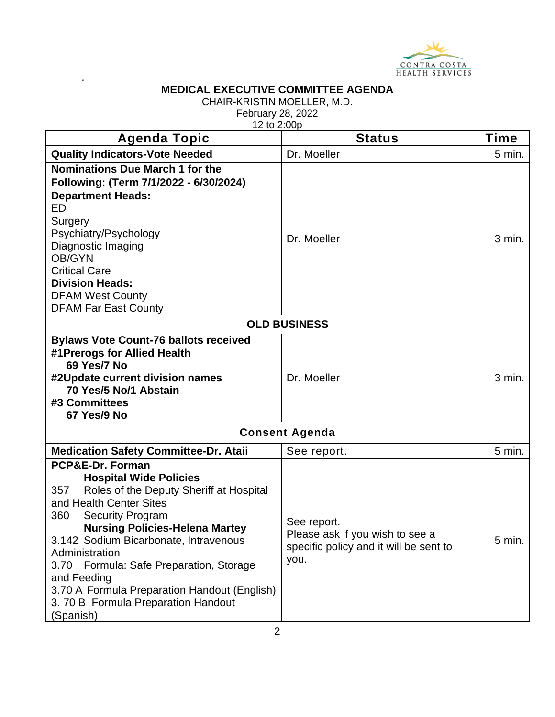

.

CHAIR-KRISTIN MOELLER, M.D.

February 28, 2022

12 to 2:00p

| $1 - 10 - 100$<br><b>Agenda Topic</b>                                                                                                                                                                                                                                                                                                                                                                                                | <b>Status</b>                                                                                    | <b>Time</b> |
|--------------------------------------------------------------------------------------------------------------------------------------------------------------------------------------------------------------------------------------------------------------------------------------------------------------------------------------------------------------------------------------------------------------------------------------|--------------------------------------------------------------------------------------------------|-------------|
| <b>Quality Indicators-Vote Needed</b>                                                                                                                                                                                                                                                                                                                                                                                                | Dr. Moeller                                                                                      | $5$ min.    |
| Nominations Due March 1 for the<br>Following: (Term 7/1/2022 - 6/30/2024)<br><b>Department Heads:</b><br>ED<br>Surgery<br>Psychiatry/Psychology<br>Diagnostic Imaging<br>OB/GYN<br><b>Critical Care</b><br><b>Division Heads:</b><br><b>DFAM West County</b><br><b>DFAM Far East County</b>                                                                                                                                          | Dr. Moeller                                                                                      | 3 min.      |
| <b>OLD BUSINESS</b>                                                                                                                                                                                                                                                                                                                                                                                                                  |                                                                                                  |             |
| <b>Bylaws Vote Count-76 ballots received</b><br>#1Prerogs for Allied Health<br>69 Yes/7 No<br>#2Update current division names<br>70 Yes/5 No/1 Abstain<br>#3 Committees<br>67 Yes/9 No                                                                                                                                                                                                                                               | Dr. Moeller                                                                                      | 3 min.      |
| <b>Consent Agenda</b>                                                                                                                                                                                                                                                                                                                                                                                                                |                                                                                                  |             |
| <b>Medication Safety Committee-Dr. Ataii</b>                                                                                                                                                                                                                                                                                                                                                                                         | See report.                                                                                      | $5$ min.    |
| PCP&E-Dr. Forman<br><b>Hospital Wide Policies</b><br>357<br>Roles of the Deputy Sheriff at Hospital<br>and Health Center Sites<br>360<br><b>Security Program</b><br><b>Nursing Policies-Helena Martey</b><br>3.142 Sodium Bicarbonate, Intravenous<br>Administration<br>Formula: Safe Preparation, Storage<br>3.70<br>and Feeding<br>3.70 A Formula Preparation Handout (English)<br>3.70 B Formula Preparation Handout<br>(Spanish) | See report.<br>Please ask if you wish to see a<br>specific policy and it will be sent to<br>you. | $5$ min.    |